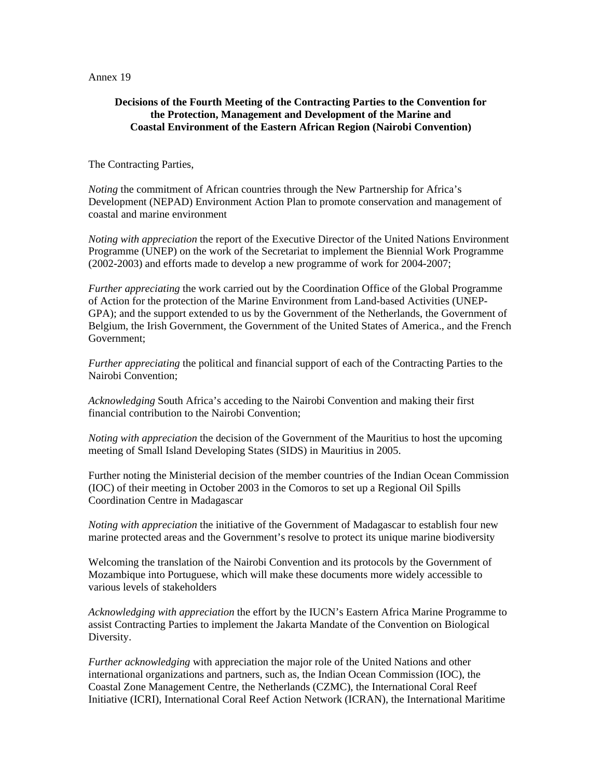Annex 19

#### **Decisions of the Fourth Meeting of the Contracting Parties to the Convention for the Protection, Management and Development of the Marine and Coastal Environment of the Eastern African Region (Nairobi Convention)**

The Contracting Parties,

*Noting* the commitment of African countries through the New Partnership for Africa's Development (NEPAD) Environment Action Plan to promote conservation and management of coastal and marine environment

*Noting with appreciation* the report of the Executive Director of the United Nations Environment Programme (UNEP) on the work of the Secretariat to implement the Biennial Work Programme (2002-2003) and efforts made to develop a new programme of work for 2004-2007;

*Further appreciating* the work carried out by the Coordination Office of the Global Programme of Action for the protection of the Marine Environment from Land-based Activities (UNEP-GPA); and the support extended to us by the Government of the Netherlands, the Government of Belgium, the Irish Government, the Government of the United States of America., and the French Government;

*Further appreciating* the political and financial support of each of the Contracting Parties to the Nairobi Convention;

*Acknowledging* South Africa's acceding to the Nairobi Convention and making their first financial contribution to the Nairobi Convention;

*Noting with appreciation* the decision of the Government of the Mauritius to host the upcoming meeting of Small Island Developing States (SIDS) in Mauritius in 2005.

Further noting the Ministerial decision of the member countries of the Indian Ocean Commission (IOC) of their meeting in October 2003 in the Comoros to set up a Regional Oil Spills Coordination Centre in Madagascar

*Noting with appreciation* the initiative of the Government of Madagascar to establish four new marine protected areas and the Government's resolve to protect its unique marine biodiversity

Welcoming the translation of the Nairobi Convention and its protocols by the Government of Mozambique into Portuguese, which will make these documents more widely accessible to various levels of stakeholders

*Acknowledging with appreciation* the effort by the IUCN's Eastern Africa Marine Programme to assist Contracting Parties to implement the Jakarta Mandate of the Convention on Biological Diversity.

*Further acknowledging* with appreciation the major role of the United Nations and other international organizations and partners, such as, the Indian Ocean Commission (IOC), the Coastal Zone Management Centre, the Netherlands (CZMC), the International Coral Reef Initiative (ICRI), International Coral Reef Action Network (ICRAN), the International Maritime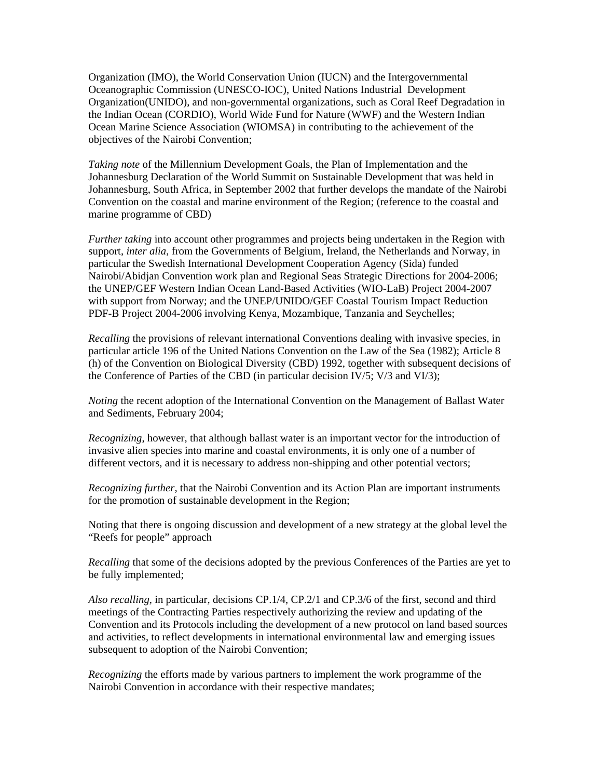Organization (IMO), the World Conservation Union (IUCN) and the Intergovernmental Oceanographic Commission (UNESCO-IOC), United Nations Industrial Development Organization(UNIDO), and non-governmental organizations, such as Coral Reef Degradation in the Indian Ocean (CORDIO), World Wide Fund for Nature (WWF) and the Western Indian Ocean Marine Science Association (WIOMSA) in contributing to the achievement of the objectives of the Nairobi Convention;

*Taking note* of the Millennium Development Goals, the Plan of Implementation and the Johannesburg Declaration of the World Summit on Sustainable Development that was held in Johannesburg, South Africa, in September 2002 that further develops the mandate of the Nairobi Convention on the coastal and marine environment of the Region; (reference to the coastal and marine programme of CBD)

*Further taking* into account other programmes and projects being undertaken in the Region with support, *inter alia*, from the Governments of Belgium, Ireland, the Netherlands and Norway, in particular the Swedish International Development Cooperation Agency (Sida) funded Nairobi/Abidjan Convention work plan and Regional Seas Strategic Directions for 2004-2006; the UNEP/GEF Western Indian Ocean Land-Based Activities (WIO-LaB) Project 2004-2007 with support from Norway; and the UNEP/UNIDO/GEF Coastal Tourism Impact Reduction PDF-B Project 2004-2006 involving Kenya, Mozambique, Tanzania and Seychelles;

*Recalling* the provisions of relevant international Conventions dealing with invasive species, in particular article 196 of the United Nations Convention on the Law of the Sea (1982); Article 8 (h) of the Convention on Biological Diversity (CBD) 1992, together with subsequent decisions of the Conference of Parties of the CBD (in particular decision IV/5; V/3 and VI/3);

*Noting* the recent adoption of the International Convention on the Management of Ballast Water and Sediments, February 2004;

*Recognizing*, however, that although ballast water is an important vector for the introduction of invasive alien species into marine and coastal environments, it is only one of a number of different vectors, and it is necessary to address non-shipping and other potential vectors;

*Recognizing further,* that the Nairobi Convention and its Action Plan are important instruments for the promotion of sustainable development in the Region;

Noting that there is ongoing discussion and development of a new strategy at the global level the "Reefs for people" approach

*Recalling* that some of the decisions adopted by the previous Conferences of the Parties are yet to be fully implemented;

*Also recalling*, in particular*,* decisions CP.1/4, CP.2/1 and CP.3/6 of the first, second and third meetings of the Contracting Parties respectively authorizing the review and updating of the Convention and its Protocols including the development of a new protocol on land based sources and activities, to reflect developments in international environmental law and emerging issues subsequent to adoption of the Nairobi Convention;

*Recognizing* the efforts made by various partners to implement the work programme of the Nairobi Convention in accordance with their respective mandates;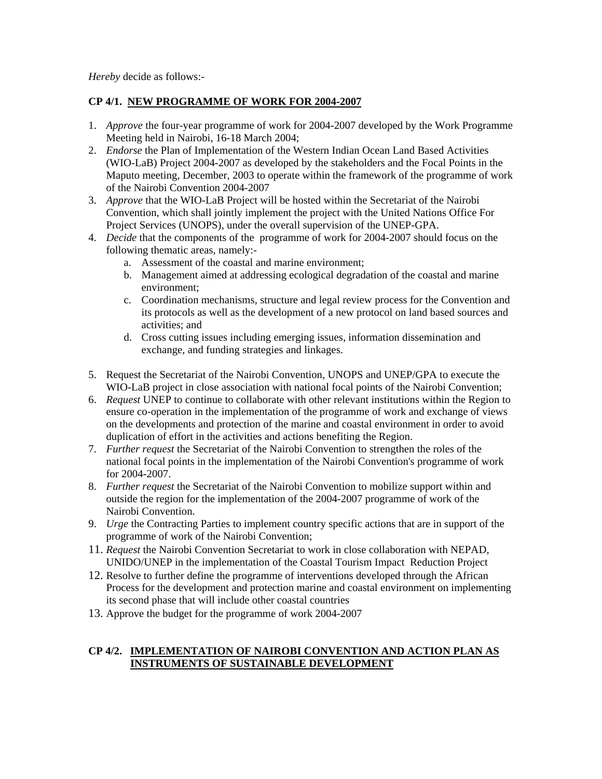*Hereby* decide as follows:-

# **CP 4/1. NEW PROGRAMME OF WORK FOR 2004-2007**

- 1. *Approve* the four-year programme of work for 2004-2007 developed by the Work Programme Meeting held in Nairobi, 16-18 March 2004;
- 2. *Endorse* the Plan of Implementation of the Western Indian Ocean Land Based Activities (WIO-LaB) Project 2004-2007 as developed by the stakeholders and the Focal Points in the Maputo meeting, December, 2003 to operate within the framework of the programme of work of the Nairobi Convention 2004-2007
- 3. *Approve* that the WIO-LaB Project will be hosted within the Secretariat of the Nairobi Convention, which shall jointly implement the project with the United Nations Office For Project Services (UNOPS), under the overall supervision of the UNEP-GPA.
- 4. *Decide* that the components of the programme of work for 2004-2007 should focus on the following thematic areas, namely:
	- a. Assessment of the coastal and marine environment;
	- b. Management aimed at addressing ecological degradation of the coastal and marine environment;
	- c. Coordination mechanisms, structure and legal review process for the Convention and its protocols as well as the development of a new protocol on land based sources and activities; and
	- d. Cross cutting issues including emerging issues, information dissemination and exchange, and funding strategies and linkages.
- 5. Request the Secretariat of the Nairobi Convention, UNOPS and UNEP/GPA to execute the WIO-LaB project in close association with national focal points of the Nairobi Convention;
- 6. *Request* UNEP to continue to collaborate with other relevant institutions within the Region to ensure co-operation in the implementation of the programme of work and exchange of views on the developments and protection of the marine and coastal environment in order to avoid duplication of effort in the activities and actions benefiting the Region.
- 7. *Further request* the Secretariat of the Nairobi Convention to strengthen the roles of the national focal points in the implementation of the Nairobi Convention's programme of work for 2004-2007.
- 8. *Further request* the Secretariat of the Nairobi Convention to mobilize support within and outside the region for the implementation of the 2004-2007 programme of work of the Nairobi Convention.
- 9. *Urge* the Contracting Parties to implement country specific actions that are in support of the programme of work of the Nairobi Convention;
- 11. *Request* the Nairobi Convention Secretariat to work in close collaboration with NEPAD, UNIDO/UNEP in the implementation of the Coastal Tourism Impact Reduction Project
- 12. Resolve to further define the programme of interventions developed through the African Process for the development and protection marine and coastal environment on implementing its second phase that will include other coastal countries
- 13. Approve the budget for the programme of work 2004-2007

# **CP 4/2. IMPLEMENTATION OF NAIROBI CONVENTION AND ACTION PLAN AS INSTRUMENTS OF SUSTAINABLE DEVELOPMENT**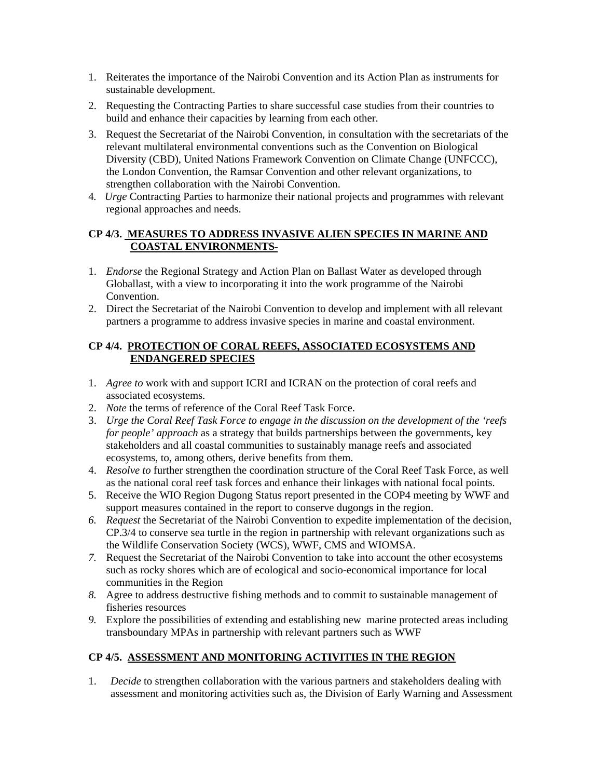- 1. Reiterates the importance of the Nairobi Convention and its Action Plan as instruments for sustainable development.
- 2. Requesting the Contracting Parties to share successful case studies from their countries to build and enhance their capacities by learning from each other.
- 3. Request the Secretariat of the Nairobi Convention, in consultation with the secretariats of the relevant multilateral environmental conventions such as the Convention on Biological Diversity (CBD), United Nations Framework Convention on Climate Change (UNFCCC), the London Convention, the Ramsar Convention and other relevant organizations, to strengthen collaboration with the Nairobi Convention.
- 4*. Urge* Contracting Parties to harmonize their national projects and programmes with relevant regional approaches and needs.

#### **CP 4/3. MEASURES TO ADDRESS INVASIVE ALIEN SPECIES IN MARINE AND COASTAL ENVIRONMENTS**

- 1. *Endorse* the Regional Strategy and Action Plan on Ballast Water as developed through Globallast, with a view to incorporating it into the work programme of the Nairobi Convention.
- 2. Direct the Secretariat of the Nairobi Convention to develop and implement with all relevant partners a programme to address invasive species in marine and coastal environment.

# **CP 4/4. PROTECTION OF CORAL REEFS, ASSOCIATED ECOSYSTEMS AND ENDANGERED SPECIES**

- 1. *Agree to* work with and support ICRI and ICRAN on the protection of coral reefs and associated ecosystems.
- 2. *Note* the terms of reference of the Coral Reef Task Force.
- 3. *Urge the Coral Reef Task Force to engage in the discussion on the development of the 'reefs for people' approach* as a strategy that builds partnerships between the governments, key stakeholders and all coastal communities to sustainably manage reefs and associated ecosystems, to, among others, derive benefits from them.
- 4. *Resolve to* further strengthen the coordination structure of the Coral Reef Task Force, as well as the national coral reef task forces and enhance their linkages with national focal points.
- 5. Receive the WIO Region Dugong Status report presented in the COP4 meeting by WWF and support measures contained in the report to conserve dugongs in the region.
- *6. Request* the Secretariat of the Nairobi Convention to expedite implementation of the decision, CP.3/4 to conserve sea turtle in the region in partnership with relevant organizations such as the Wildlife Conservation Society (WCS), WWF, CMS and WIOMSA.
- *7.* Request the Secretariat of the Nairobi Convention to take into account the other ecosystems such as rocky shores which are of ecological and socio-economical importance for local communities in the Region
- *8.* Agree to address destructive fishing methods and to commit to sustainable management of fisheries resources
- *9.* Explore the possibilities of extending and establishing new marine protected areas including transboundary MPAs in partnership with relevant partners such as WWF

# **CP 4/5. ASSESSMENT AND MONITORING ACTIVITIES IN THE REGION**

1. *Decide* to strengthen collaboration with the various partners and stakeholders dealing with assessment and monitoring activities such as, the Division of Early Warning and Assessment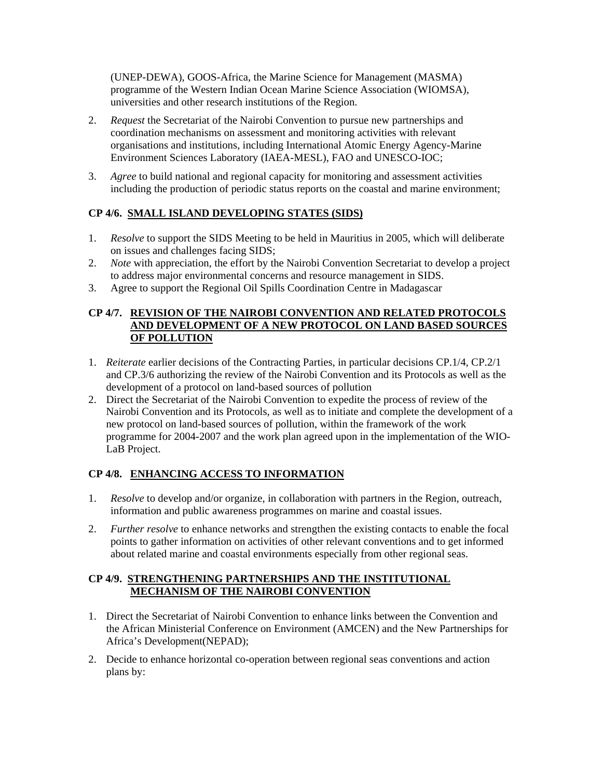(UNEP-DEWA), GOOS-Africa, the Marine Science for Management (MASMA) programme of the Western Indian Ocean Marine Science Association (WIOMSA), universities and other research institutions of the Region.

- 2. *Request* the Secretariat of the Nairobi Convention to pursue new partnerships and coordination mechanisms on assessment and monitoring activities with relevant organisations and institutions, including International Atomic Energy Agency-Marine Environment Sciences Laboratory (IAEA-MESL), FAO and UNESCO-IOC;
- 3. *Agree* to build national and regional capacity for monitoring and assessment activities including the production of periodic status reports on the coastal and marine environment;

### **CP 4/6. SMALL ISLAND DEVELOPING STATES (SIDS)**

- 1. *Resolve* to support the SIDS Meeting to be held in Mauritius in 2005, which will deliberate on issues and challenges facing SIDS;
- 2. *Note* with appreciation, the effort by the Nairobi Convention Secretariat to develop a project to address major environmental concerns and resource management in SIDS.
- 3. Agree to support the Regional Oil Spills Coordination Centre in Madagascar

#### **CP 4/7. REVISION OF THE NAIROBI CONVENTION AND RELATED PROTOCOLS AND DEVELOPMENT OF A NEW PROTOCOL ON LAND BASED SOURCES OF POLLUTION**

- 1. *Reiterate* earlier decisions of the Contracting Parties, in particular decisions CP.1/4, CP.2/1 and CP.3/6 authorizing the review of the Nairobi Convention and its Protocols as well as the development of a protocol on land-based sources of pollution
- 2. Direct the Secretariat of the Nairobi Convention to expedite the process of review of the Nairobi Convention and its Protocols, as well as to initiate and complete the development of a new protocol on land-based sources of pollution, within the framework of the work programme for 2004-2007 and the work plan agreed upon in the implementation of the WIO-LaB Project.

### **CP 4/8. ENHANCING ACCESS TO INFORMATION**

- 1. *Resolve* to develop and/or organize, in collaboration with partners in the Region, outreach, information and public awareness programmes on marine and coastal issues.
- 2. *Further resolve* to enhance networks and strengthen the existing contacts to enable the focal points to gather information on activities of other relevant conventions and to get informed about related marine and coastal environments especially from other regional seas.

#### **CP 4/9. STRENGTHENING PARTNERSHIPS AND THE INSTITUTIONAL MECHANISM OF THE NAIROBI CONVENTION**

- 1. Direct the Secretariat of Nairobi Convention to enhance links between the Convention and the African Ministerial Conference on Environment (AMCEN) and the New Partnerships for Africa's Development(NEPAD);
- 2. Decide to enhance horizontal co-operation between regional seas conventions and action plans by: